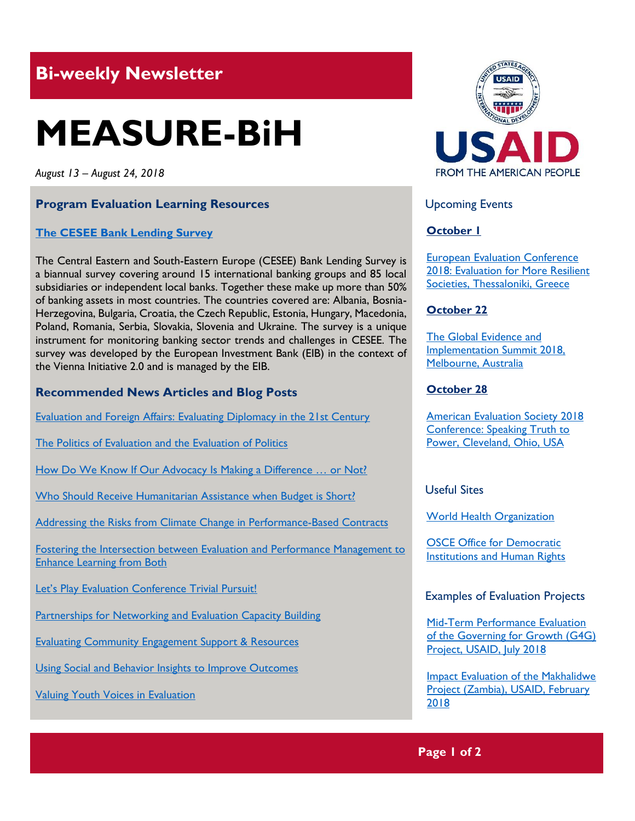## **Bi-weekly Newsletter**

# **MEASURE-BiH**

*August 13 – August 24, 2018*

#### **Program Evaluation Learning Resources**

#### **[The CESEE Bank Lending Survey](http://www.eib.org/en/about/economic-research/surveys.htm)**

The Central Eastern and South-Eastern Europe (CESEE) Bank Lending Survey is a biannual survey covering around 15 international banking groups and 85 local subsidiaries or independent local banks. Together these make up more than 50% of banking assets in most countries. The countries covered are: Albania, Bosnia-Herzegovina, Bulgaria, Croatia, the Czech Republic, Estonia, Hungary, Macedonia, Poland, Romania, Serbia, Slovakia, Slovenia and Ukraine. The survey is a unique instrument for monitoring banking sector trends and challenges in CESEE. The survey was developed by the European Investment Bank (EIB) in the context of the Vienna Initiative 2.0 and is managed by the EIB.

#### **Recommended News Articles and Blog Posts**

[Evaluation and Foreign Affairs: Evaluating Diplomacy in the 21st Century](https://aea365.org/blog/we-affiliate-week-evaluation-and-foreign-affairs-evaluating-diplomacy-in-the-21st-century-by-stephanie-cabell/)

[The Politics of Evaluation and the Evaluation of Politics](https://aea365.org/blog/we-affiliate-week-the-politics-of-evaluation-and-the-evaluation-of-politics-by-linda-stern/) 

[How Do We Know If Our Advocacy Is Making a Difference … or Not?](https://aea365.org/blog/we-affiliate-week-how-do-we-know-if-our-advocacy-is-making-a-difference-or-not-by-carlisle-levine/)

[Who Should Receive Humanitarian Assistance when Budget is Short?](https://blogs.worldbank.org/dev4peace/targeting-humanitarian-assistance-interview-lead-economist-paolo-verme)

[Addressing the Risks from Climate Change in Performance-Based Contracts](https://blogs.worldbank.org/transport/addressing-risks-climate-change-performance-based-contracts)

[Fostering the Intersection between Evaluation and Performance Management to](https://aea365.org/blog/we-week-fostering-the-intersection-between-evaluation-and-performance-management-to-enhance-learning-from-both-by-cheryl-oros/)  [Enhance Learning from Both](https://aea365.org/blog/we-week-fostering-the-intersection-between-evaluation-and-performance-management-to-enhance-learning-from-both-by-cheryl-oros/)

[Let's Play Evaluation Conference Trivial Pursuit!](https://aea365.org/blog/lets-play-evaluation-conference-trivial-pursuit-by-sheila-b-robinson/)

[Partnerships for Networking and Evaluation Capacity Building](https://aea365.org/blog/cea-week-partnerships-for-networking-and-evaluation-capacity-building-by-lisa-aponte-soto/)

[Evaluating Community Engagement Support & Resources](https://aea365.org/blog/cea-week-evaluating-community-engagement-support-resources-by-grisel-m-robles-schrader-and-keith-a-herzog/)

[Using Social and Behavior Insights to Improve Outcomes](https://aea365.org/blog/we-affiliate-week-using-social-and-behavior-insights-to-improve-outcomes-by-stephanie-cabell/)

[Valuing Youth Voices in Evaluation](https://aea365.org/blog/cea-week-valuing-youth-voices-in-evaluation-by-amanda-lambie-cara-karter-and-michelle-lopez/)



Upcoming Events

#### **October 1**

[European Evaluation Conference](http://www.ees2018.eu/)  2018: Evaluation for More Resilient [Societies, Thessaloniki, Greece](http://www.ees2018.eu/)

#### **October 22**

[The Global Evidence](https://www.geis2018.org/) and [Implementation Summit 2018,](https://www.geis2018.org/) [Melbourne, Australia](https://www.geis2018.org/)

#### **October 28**

[American Evaluation Society 2018](https://www.evaluationconference.org/p/cm/ld/fid=341)  [Conference: Speaking Truth to](https://www.evaluationconference.org/p/cm/ld/fid=341)  [Power, Cleveland, Ohio, USA](https://www.evaluationconference.org/p/cm/ld/fid=341)

Useful Sites

[World Health Organization](http://www.who.int/)

[OSCE Office for Democratic](https://www.osce.org/odihr)  [Institutions and Human Rights](https://www.osce.org/odihr)

Examples of Evaluation Projects

[Mid-Term Performance Evaluation](https://dec.usaid.gov/dec/content/Detail_Presto.aspx?ctID=ODVhZjk4NWQtM2YyMi00YjRmLTkxNjktZTcxMjM2NDBmY2Uy&rID=NTEwMTEw&qrs=RmFsc2U%3d&q=KERvY3VtZW50cy5CaWJ0eXBlX05hbWU6KCgiU3BlY2lhbCBFdmFsdWF0aW9uIikgT1IgKCJGaW5hbCBFdmFsdWF0aW9uIFJlcG9ydCIpKSk%3d&ph=VHJ1ZQ%3d%3d&bckToL=VHJ1ZQ%3d%3d&rrtc=VHJ1ZQ%3d%3d)  [of the Governing for Growth \(G4G\)](https://dec.usaid.gov/dec/content/Detail_Presto.aspx?ctID=ODVhZjk4NWQtM2YyMi00YjRmLTkxNjktZTcxMjM2NDBmY2Uy&rID=NTEwMTEw&qrs=RmFsc2U%3d&q=KERvY3VtZW50cy5CaWJ0eXBlX05hbWU6KCgiU3BlY2lhbCBFdmFsdWF0aW9uIikgT1IgKCJGaW5hbCBFdmFsdWF0aW9uIFJlcG9ydCIpKSk%3d&ph=VHJ1ZQ%3d%3d&bckToL=VHJ1ZQ%3d%3d&rrtc=VHJ1ZQ%3d%3d)  [Project, USAID, July](https://dec.usaid.gov/dec/content/Detail_Presto.aspx?ctID=ODVhZjk4NWQtM2YyMi00YjRmLTkxNjktZTcxMjM2NDBmY2Uy&rID=NTEwMTEw&qrs=RmFsc2U%3d&q=KERvY3VtZW50cy5CaWJ0eXBlX05hbWU6KCgiU3BlY2lhbCBFdmFsdWF0aW9uIikgT1IgKCJGaW5hbCBFdmFsdWF0aW9uIFJlcG9ydCIpKSk%3d&ph=VHJ1ZQ%3d%3d&bckToL=VHJ1ZQ%3d%3d&rrtc=VHJ1ZQ%3d%3d) 2018

[Impact Evaluation of the Makhalidwe](https://dec.usaid.gov/dec/content/Detail_Presto.aspx?ctID=ODVhZjk4NWQtM2YyMi00YjRmLTkxNjktZTcxMjM2NDBmY2Uy&rID=NTA5NjE5&qrs=RmFsc2U%3d&q=KERvY3VtZW50cy5CaWJ0eXBlX05hbWU6KCgiU3BlY2lhbCBFdmFsdWF0aW9uIikgT1IgKCJGaW5hbCBFdmFsdWF0aW9uIFJlcG9ydCIpKSk%3d&ph=VHJ1ZQ%3d%3d&bckToL=VHJ1ZQ%3d%3d&rrtc=VHJ1ZQ%3d%3d)  [Project \(Zambia\), USAID, February](https://dec.usaid.gov/dec/content/Detail_Presto.aspx?ctID=ODVhZjk4NWQtM2YyMi00YjRmLTkxNjktZTcxMjM2NDBmY2Uy&rID=NTA5NjE5&qrs=RmFsc2U%3d&q=KERvY3VtZW50cy5CaWJ0eXBlX05hbWU6KCgiU3BlY2lhbCBFdmFsdWF0aW9uIikgT1IgKCJGaW5hbCBFdmFsdWF0aW9uIFJlcG9ydCIpKSk%3d&ph=VHJ1ZQ%3d%3d&bckToL=VHJ1ZQ%3d%3d&rrtc=VHJ1ZQ%3d%3d) [2018](https://dec.usaid.gov/dec/content/Detail_Presto.aspx?ctID=ODVhZjk4NWQtM2YyMi00YjRmLTkxNjktZTcxMjM2NDBmY2Uy&rID=NTA5NjE5&qrs=RmFsc2U%3d&q=KERvY3VtZW50cy5CaWJ0eXBlX05hbWU6KCgiU3BlY2lhbCBFdmFsdWF0aW9uIikgT1IgKCJGaW5hbCBFdmFsdWF0aW9uIFJlcG9ydCIpKSk%3d&ph=VHJ1ZQ%3d%3d&bckToL=VHJ1ZQ%3d%3d&rrtc=VHJ1ZQ%3d%3d)

#### **Page 1 of 2**